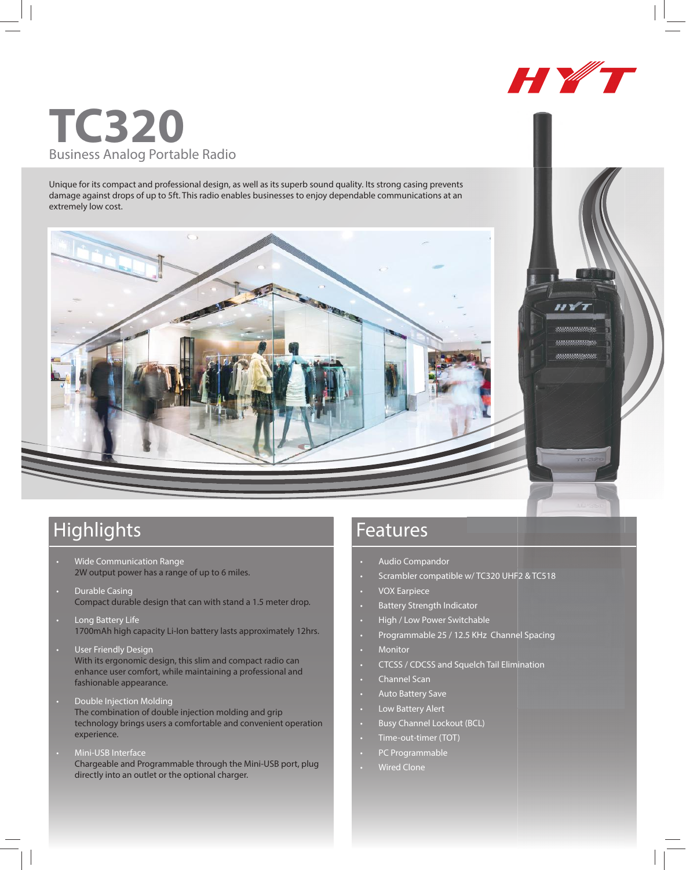

## **TC320** Business Analog Portable Radio

Unique for its compact and professional design, as well as its superb sound quality. Its strong casing prevents damage against drops of up to 5ft. This radio enables businesses to enjoy dependable communications at an extremely low cost.



## Highlights **Features**

- Wide Communication Range 2W output power has a range of up to 6 miles.
- Durable Casing Compact durable design that can with stand a 1.5 meter drop.
- Long Battery Life 1700mAh high capacity Li-Ion battery lasts approximately 12hrs.
- User Friendly Design With its ergonomic design, this slim and compact radio can enhance user comfort, while maintaining a professional and fashionable appearance.
- Double Injection Molding The combination of double injection molding and grip technology brings users a comfortable and convenient operation experience.
- Mini-USB Interface Chargeable and Programmable through the Mini-USB port, plug directly into an outlet or the optional charger.

- Audio Compandor
- Scrambler compatible w/ TC320 UHF2 & TC518
- VOX Earpiece
- Battery Strength Indicator
- High / Low Power Switchable
- Programmable 25 / 12.5 KHz Channel Spacing
- **Monitor**
- CTCSS / CDCSS and Squelch Tail Elimination
- Channel Scan
- Auto Battery Save
- Low Battery Alert
- Busy Channel Lockout (BCL)
- Time-out-timer (TOT)
- PC Programmable
- Wired Clone